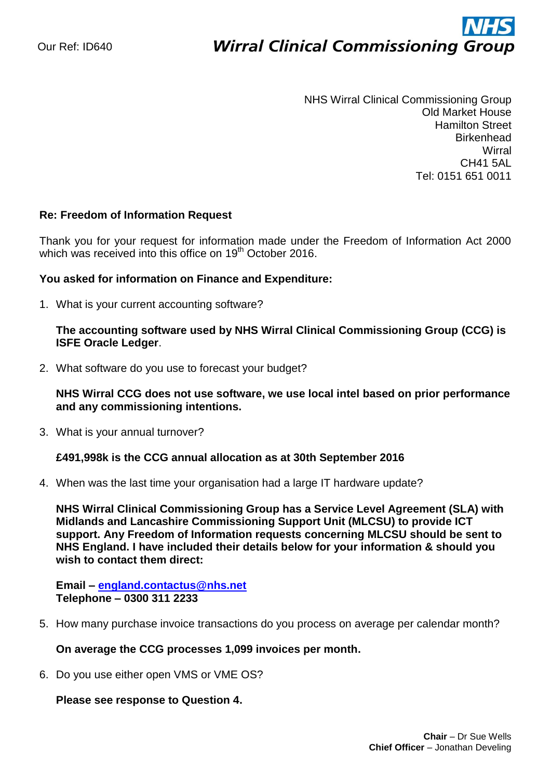# ì **Wirral Clinical Commissioning Group**

NHS Wirral Clinical Commissioning Group Old Market House Hamilton Street **Birkenhead Wirral** CH41 5AL Tel: 0151 651 0011

## **Re: Freedom of Information Request**

Thank you for your request for information made under the Freedom of Information Act 2000 which was received into this office on 19<sup>th</sup> October 2016.

## **You asked for information on Finance and Expenditure:**

1. What is your current accounting software?

# **The accounting software used by NHS Wirral Clinical Commissioning Group (CCG) is ISFE Oracle Ledger**.

2. What software do you use to forecast your budget?

# **NHS Wirral CCG does not use software, we use local intel based on prior performance and any commissioning intentions.**

3. What is your annual turnover?

#### **£491,998k is the CCG annual allocation as at 30th September 2016**

4. When was the last time your organisation had a large IT hardware update?

**NHS Wirral Clinical Commissioning Group has a Service Level Agreement (SLA) with Midlands and Lancashire Commissioning Support Unit (MLCSU) to provide ICT support. Any Freedom of Information requests concerning MLCSU should be sent to NHS England. I have included their details below for your information & should you wish to contact them direct:** 

**Email – [england.contactus@nhs.net](mailto:england.contactus@nhs.net)  Telephone – 0300 311 2233**

5. How many purchase invoice transactions do you process on average per calendar month?

#### **On average the CCG processes 1,099 invoices per month.**

6. Do you use either open VMS or VME OS?

#### **Please see response to Question 4.**